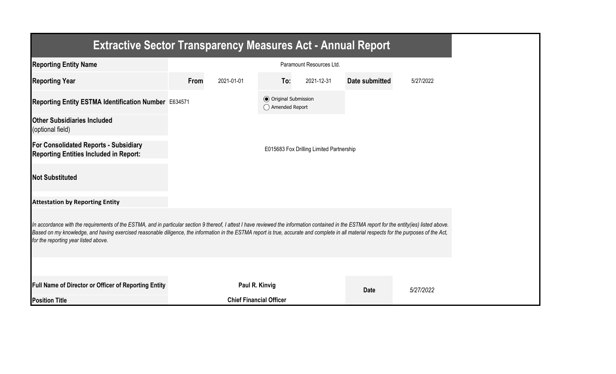| <b>Extractive Sector Transparency Measures Act - Annual Report</b>                                                                                                                                                                                                                                                                                                                                                                    |      |                                |                                                  |                                          |                       |           |  |  |
|---------------------------------------------------------------------------------------------------------------------------------------------------------------------------------------------------------------------------------------------------------------------------------------------------------------------------------------------------------------------------------------------------------------------------------------|------|--------------------------------|--------------------------------------------------|------------------------------------------|-----------------------|-----------|--|--|
| <b>Reporting Entity Name</b>                                                                                                                                                                                                                                                                                                                                                                                                          |      |                                |                                                  | Paramount Resources Ltd.                 |                       |           |  |  |
| <b>Reporting Year</b>                                                                                                                                                                                                                                                                                                                                                                                                                 | From | 2021-01-01                     | To:                                              | 2021-12-31                               | <b>Date submitted</b> | 5/27/2022 |  |  |
| Reporting Entity ESTMA Identification Number E634571                                                                                                                                                                                                                                                                                                                                                                                  |      |                                | <b>◎</b> Original Submission<br>◯ Amended Report |                                          |                       |           |  |  |
| <b>Other Subsidiaries Included</b><br>(optional field)                                                                                                                                                                                                                                                                                                                                                                                |      |                                |                                                  |                                          |                       |           |  |  |
| <b>For Consolidated Reports - Subsidiary</b><br><b>Reporting Entities Included in Report:</b>                                                                                                                                                                                                                                                                                                                                         |      |                                |                                                  | E015683 Fox Drilling Limited Partnership |                       |           |  |  |
| <b>Not Substituted</b>                                                                                                                                                                                                                                                                                                                                                                                                                |      |                                |                                                  |                                          |                       |           |  |  |
| <b>Attestation by Reporting Entity</b>                                                                                                                                                                                                                                                                                                                                                                                                |      |                                |                                                  |                                          |                       |           |  |  |
| In accordance with the requirements of the ESTMA, and in particular section 9 thereof, I attest I have reviewed the information contained in the ESTMA report for the entity(ies) listed above.<br>Based on my knowledge, and having exercised reasonable diligence, the information in the ESTMA report is true, accurate and complete in all material respects for the purposes of the Act,<br>for the reporting year listed above. |      |                                |                                                  |                                          |                       |           |  |  |
|                                                                                                                                                                                                                                                                                                                                                                                                                                       |      |                                |                                                  |                                          |                       |           |  |  |
| Full Name of Director or Officer of Reporting Entity                                                                                                                                                                                                                                                                                                                                                                                  |      | Paul R. Kinvig                 |                                                  |                                          | <b>Date</b>           | 5/27/2022 |  |  |
| <b>Position Title</b>                                                                                                                                                                                                                                                                                                                                                                                                                 |      | <b>Chief Financial Officer</b> |                                                  |                                          |                       |           |  |  |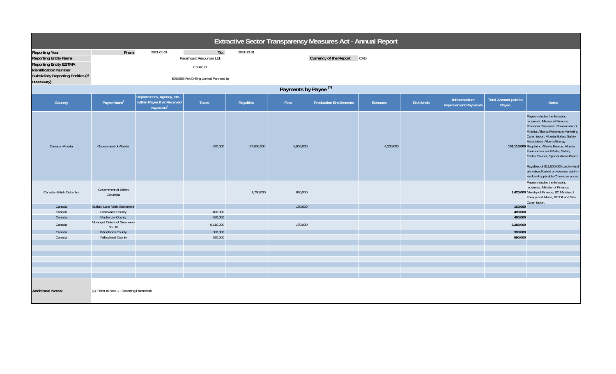| Extractive Sector Transparency Measures Act - Annual Report                                                                                                                      |                                           |                                                     |                                                                                        |            |           |                                |                |                  |                                               |                                      |                                                                                                                                                                                                                                                                                                                                                                                                                                                                          |  |
|----------------------------------------------------------------------------------------------------------------------------------------------------------------------------------|-------------------------------------------|-----------------------------------------------------|----------------------------------------------------------------------------------------|------------|-----------|--------------------------------|----------------|------------------|-----------------------------------------------|--------------------------------------|--------------------------------------------------------------------------------------------------------------------------------------------------------------------------------------------------------------------------------------------------------------------------------------------------------------------------------------------------------------------------------------------------------------------------------------------------------------------------|--|
| <b>Reporting Year</b><br><b>Reporting Entity Name</b><br><b>Reporting Entity ESTMA</b><br><b>Identification Number</b><br><b>Subsidiary Reporting Entities (if</b><br>necessary) | From:                                     | 2021-01-01                                          | To:<br>Paramount Resources Ltd.<br>E634571<br>E015683 Fox Drilling Limited Partnership | 2021-12-31 |           | Currency of the Report CAD     |                |                  |                                               |                                      |                                                                                                                                                                                                                                                                                                                                                                                                                                                                          |  |
|                                                                                                                                                                                  | Payments by Payee <sup>(1)</sup>          |                                                     |                                                                                        |            |           |                                |                |                  |                                               |                                      |                                                                                                                                                                                                                                                                                                                                                                                                                                                                          |  |
|                                                                                                                                                                                  | Departments, Agency, etc                  |                                                     |                                                                                        |            |           |                                |                |                  |                                               |                                      |                                                                                                                                                                                                                                                                                                                                                                                                                                                                          |  |
| Country                                                                                                                                                                          | Payee Name <sup>1</sup>                   | within Payee that Received<br>Payments <sup>2</sup> | <b>Taxes</b>                                                                           | Royalties  | Fees      | <b>Production Entitlements</b> | <b>Bonuses</b> | <b>Dividends</b> | Infrastructure<br><b>Improvement Payments</b> | <b>Total Amount paid to</b><br>Payee | <b>Notes</b>                                                                                                                                                                                                                                                                                                                                                                                                                                                             |  |
| Canada - Alberta                                                                                                                                                                 | Government of Alberta                     |                                                     | 420,000                                                                                | 87,860,000 | 8,600,000 |                                | 4,230,000      |                  |                                               |                                      | Payee includes the following<br>recipients: Minster of Finance,<br>Provincial Treasurer, Government of<br>Alberta, Alberta Petroleum Marketing<br>Commission, Alberta Boilers Safety<br>Association, Alberta Energy<br>101,110,000 Regulator, Alberta Energy, Alberta<br>Environment and Parks, Safety<br>Codes Council, Special Areas Board.<br>Royalties of \$11,520,000 paid-in-kind<br>are valued based on volumes paid-in-<br>kind and applicable Crown par prices. |  |
| Canada - British Columbia                                                                                                                                                        | Government of British<br>Columbia         |                                                     |                                                                                        | 1,760,000  | 660,000   |                                |                |                  |                                               |                                      | Payee includes the following<br>recipients: Minister of Finance,<br>2,420,000 Ministry of Finance, BC Ministry of<br>Energy and Mines, BC Oil and Gas<br>Commission.                                                                                                                                                                                                                                                                                                     |  |
| Canada                                                                                                                                                                           | <b>Buffalo Lake Metis Settlement</b>      |                                                     |                                                                                        |            | 160,000   |                                |                |                  |                                               | 160,000                              |                                                                                                                                                                                                                                                                                                                                                                                                                                                                          |  |
| Canada                                                                                                                                                                           | <b>Clearwater County</b>                  |                                                     | 480,000                                                                                |            |           |                                |                |                  |                                               | 480,000                              |                                                                                                                                                                                                                                                                                                                                                                                                                                                                          |  |
| Canada                                                                                                                                                                           | Mackenzie County                          |                                                     | 460,000                                                                                |            |           |                                |                |                  |                                               | 460,000                              |                                                                                                                                                                                                                                                                                                                                                                                                                                                                          |  |
| Canada                                                                                                                                                                           | Municipal District of Greenview<br>No. 16 |                                                     | 6,110,000                                                                              |            | 170,000   |                                |                |                  |                                               | 6,280,000                            |                                                                                                                                                                                                                                                                                                                                                                                                                                                                          |  |
| Canada                                                                                                                                                                           | <b>Woodlands County</b>                   |                                                     | 300,000                                                                                |            |           |                                |                |                  |                                               | 300,000                              |                                                                                                                                                                                                                                                                                                                                                                                                                                                                          |  |
| Canada                                                                                                                                                                           | Yellowhead County                         |                                                     | 590,000                                                                                |            |           |                                |                |                  |                                               | 590,000                              |                                                                                                                                                                                                                                                                                                                                                                                                                                                                          |  |
|                                                                                                                                                                                  |                                           |                                                     |                                                                                        |            |           |                                |                |                  |                                               |                                      |                                                                                                                                                                                                                                                                                                                                                                                                                                                                          |  |
|                                                                                                                                                                                  |                                           |                                                     |                                                                                        |            |           |                                |                |                  |                                               |                                      |                                                                                                                                                                                                                                                                                                                                                                                                                                                                          |  |
|                                                                                                                                                                                  |                                           |                                                     |                                                                                        |            |           |                                |                |                  |                                               |                                      |                                                                                                                                                                                                                                                                                                                                                                                                                                                                          |  |
|                                                                                                                                                                                  |                                           |                                                     |                                                                                        |            |           |                                |                |                  |                                               |                                      |                                                                                                                                                                                                                                                                                                                                                                                                                                                                          |  |
|                                                                                                                                                                                  |                                           |                                                     |                                                                                        |            |           |                                |                |                  |                                               |                                      |                                                                                                                                                                                                                                                                                                                                                                                                                                                                          |  |
|                                                                                                                                                                                  |                                           |                                                     |                                                                                        |            |           |                                |                |                  |                                               |                                      |                                                                                                                                                                                                                                                                                                                                                                                                                                                                          |  |
| <b>Additional Notes:</b>                                                                                                                                                         | (1) Refer to Note 1 - Reporting Framework |                                                     |                                                                                        |            |           |                                |                |                  |                                               |                                      |                                                                                                                                                                                                                                                                                                                                                                                                                                                                          |  |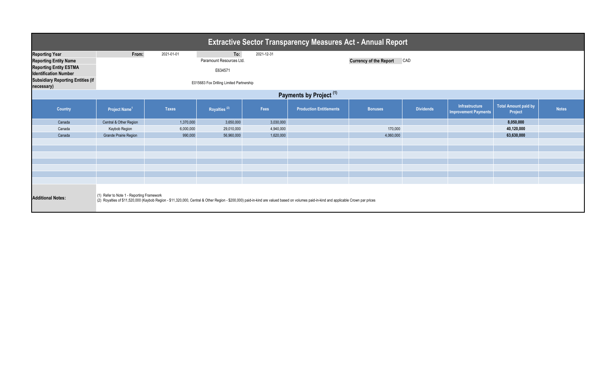| <b>Extractive Sector Transparency Measures Act - Annual Report</b>                                                                                                                                                                                              |                                                                                                                             |              |                          |                                      |                                |                |                  |                                               |                                        |              |  |  |
|-----------------------------------------------------------------------------------------------------------------------------------------------------------------------------------------------------------------------------------------------------------------|-----------------------------------------------------------------------------------------------------------------------------|--------------|--------------------------|--------------------------------------|--------------------------------|----------------|------------------|-----------------------------------------------|----------------------------------------|--------------|--|--|
| <b>Reporting Year</b><br><b>Reporting Entity Name</b><br><b>Reporting Entity ESTMA</b><br><b>Identification Number</b><br><b>Subsidiary Reporting Entities (if</b><br>necessary)                                                                                | To:<br>From:<br>2021-01-01<br>2021-12-31<br>Paramount Resources Ltd.<br>E634571<br>E015683 Fox Drilling Limited Partnership |              |                          | <b>Currency of the Report</b><br>CAD |                                |                |                  |                                               |                                        |              |  |  |
| Payments by Project <sup>(1)</sup>                                                                                                                                                                                                                              |                                                                                                                             |              |                          |                                      |                                |                |                  |                                               |                                        |              |  |  |
| Country                                                                                                                                                                                                                                                         | Project Name <sup>1</sup>                                                                                                   | <b>Taxes</b> | Royalties <sup>(2)</sup> | Fees                                 | <b>Production Entitlements</b> | <b>Bonuses</b> | <b>Dividends</b> | Infrastructure<br><b>Improvement Payments</b> | <b>Total Amount paid by</b><br>Project | <b>Notes</b> |  |  |
| Canada                                                                                                                                                                                                                                                          | Central & Other Region                                                                                                      | 1,370,000    | 3,650,000                | 3,030,000                            |                                |                |                  |                                               | 8,050,000                              |              |  |  |
| Canada                                                                                                                                                                                                                                                          | Kaybob Region                                                                                                               | 6,000,000    | 29,010,000               | 4,940,000                            |                                | 170,000        |                  |                                               | 40,120,000                             |              |  |  |
| Canada                                                                                                                                                                                                                                                          | Grande Prairie Region                                                                                                       | 990,000      | 56,960,000               | 1,620,000                            |                                | 4,060,000      |                  |                                               | 63,630,000                             |              |  |  |
|                                                                                                                                                                                                                                                                 |                                                                                                                             |              |                          |                                      |                                |                |                  |                                               |                                        |              |  |  |
|                                                                                                                                                                                                                                                                 |                                                                                                                             |              |                          |                                      |                                |                |                  |                                               |                                        |              |  |  |
|                                                                                                                                                                                                                                                                 |                                                                                                                             |              |                          |                                      |                                |                |                  |                                               |                                        |              |  |  |
|                                                                                                                                                                                                                                                                 |                                                                                                                             |              |                          |                                      |                                |                |                  |                                               |                                        |              |  |  |
|                                                                                                                                                                                                                                                                 |                                                                                                                             |              |                          |                                      |                                |                |                  |                                               |                                        |              |  |  |
|                                                                                                                                                                                                                                                                 |                                                                                                                             |              |                          |                                      |                                |                |                  |                                               |                                        |              |  |  |
| (1) Refer to Note 1 - Reporting Framework<br><b>Additional Notes:</b><br>(2) Royalties of \$11,520,000 (Kaybob Region - \$11,320,000, Central & Other Region - \$200,000) paid-in-kind are valued based on volumes paid-in-kind and applicable Crown par prices |                                                                                                                             |              |                          |                                      |                                |                |                  |                                               |                                        |              |  |  |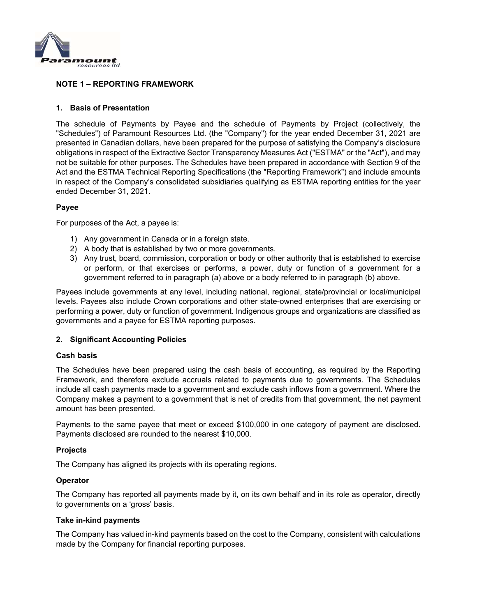

## **NOTE 1 – REPORTING FRAMEWORK**

## **1. Basis of Presentation**

The schedule of Payments by Payee and the schedule of Payments by Project (collectively, the "Schedules") of Paramount Resources Ltd. (the "Company") for the year ended December 31, 2021 are presented in Canadian dollars, have been prepared for the purpose of satisfying the Company's disclosure obligations in respect of the Extractive Sector Transparency Measures Act ("ESTMA" or the "Act"), and may not be suitable for other purposes. The Schedules have been prepared in accordance with Section 9 of the Act and the ESTMA Technical Reporting Specifications (the "Reporting Framework") and include amounts in respect of the Company's consolidated subsidiaries qualifying as ESTMA reporting entities for the year ended December 31, 2021.

## **Payee**

For purposes of the Act, a payee is:

- 1) Any government in Canada or in a foreign state.
- 2) A body that is established by two or more governments.
- 3) Any trust, board, commission, corporation or body or other authority that is established to exercise or perform, or that exercises or performs, a power, duty or function of a government for a government referred to in paragraph (a) above or a body referred to in paragraph (b) above.

Payees include governments at any level, including national, regional, state/provincial or local/municipal levels. Payees also include Crown corporations and other state-owned enterprises that are exercising or performing a power, duty or function of government. Indigenous groups and organizations are classified as governments and a payee for ESTMA reporting purposes.

## **2. Significant Accounting Policies**

#### **Cash basis**

The Schedules have been prepared using the cash basis of accounting, as required by the Reporting Framework, and therefore exclude accruals related to payments due to governments. The Schedules include all cash payments made to a government and exclude cash inflows from a government. Where the Company makes a payment to a government that is net of credits from that government, the net payment amount has been presented.

Payments to the same payee that meet or exceed \$100,000 in one category of payment are disclosed. Payments disclosed are rounded to the nearest \$10,000.

## **Projects**

The Company has aligned its projects with its operating regions.

## **Operator**

The Company has reported all payments made by it, on its own behalf and in its role as operator, directly to governments on a 'gross' basis.

#### **Take in-kind payments**

The Company has valued in-kind payments based on the cost to the Company, consistent with calculations made by the Company for financial reporting purposes.